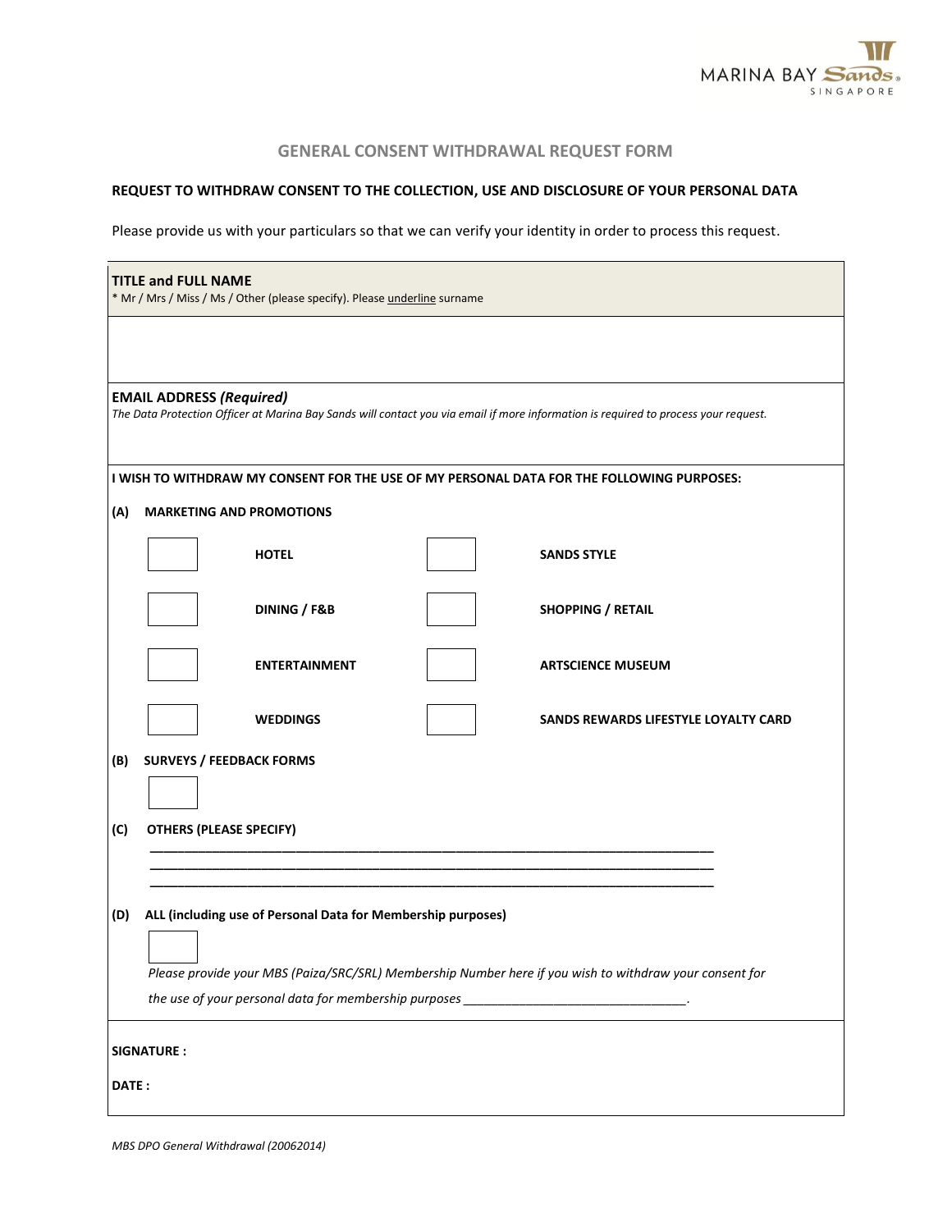

## **GENERAL CONSENT WITHDRAWAL REQUEST FORM**

## **REQUEST TO WITHDRAW CONSENT TO THE COLLECTION, USE AND DISCLOSURE OF YOUR PERSONAL DATA**

Please provide us with your particulars so that we can verify your identity in order to process this request.

|                                                                                                                                                                                                     | <b>TITLE and FULL NAME</b><br>* Mr / Mrs / Miss / Ms / Other (please specify). Please underline surname |  |                                      |  |  |  |
|-----------------------------------------------------------------------------------------------------------------------------------------------------------------------------------------------------|---------------------------------------------------------------------------------------------------------|--|--------------------------------------|--|--|--|
|                                                                                                                                                                                                     |                                                                                                         |  |                                      |  |  |  |
| <b>EMAIL ADDRESS (Required)</b><br>The Data Protection Officer at Marina Bay Sands will contact you via email if more information is required to process your request.                              |                                                                                                         |  |                                      |  |  |  |
| I WISH TO WITHDRAW MY CONSENT FOR THE USE OF MY PERSONAL DATA FOR THE FOLLOWING PURPOSES:                                                                                                           |                                                                                                         |  |                                      |  |  |  |
| (A)<br><b>MARKETING AND PROMOTIONS</b>                                                                                                                                                              |                                                                                                         |  |                                      |  |  |  |
|                                                                                                                                                                                                     | <b>HOTEL</b>                                                                                            |  | <b>SANDS STYLE</b>                   |  |  |  |
|                                                                                                                                                                                                     | DINING / F&B                                                                                            |  | <b>SHOPPING / RETAIL</b>             |  |  |  |
|                                                                                                                                                                                                     | <b>ENTERTAINMENT</b>                                                                                    |  | <b>ARTSCIENCE MUSEUM</b>             |  |  |  |
|                                                                                                                                                                                                     | <b>WEDDINGS</b>                                                                                         |  | SANDS REWARDS LIFESTYLE LOYALTY CARD |  |  |  |
| (B)                                                                                                                                                                                                 | <b>SURVEYS / FEEDBACK FORMS</b>                                                                         |  |                                      |  |  |  |
| (C)                                                                                                                                                                                                 | <b>OTHERS (PLEASE SPECIFY)</b>                                                                          |  |                                      |  |  |  |
|                                                                                                                                                                                                     |                                                                                                         |  |                                      |  |  |  |
| (D)<br>ALL (including use of Personal Data for Membership purposes)                                                                                                                                 |                                                                                                         |  |                                      |  |  |  |
| Please provide your MBS (Paiza/SRC/SRL) Membership Number here if you wish to withdraw your consent for<br>the use of your personal data for membership purposes _________________________________. |                                                                                                         |  |                                      |  |  |  |
| <b>SIGNATURE:</b>                                                                                                                                                                                   |                                                                                                         |  |                                      |  |  |  |
| DATE:                                                                                                                                                                                               |                                                                                                         |  |                                      |  |  |  |

*MBS DPO General Withdrawal (20062014)*